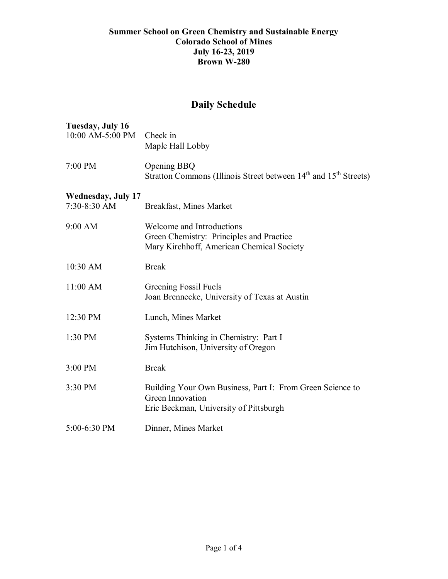## **Summer School on Green Chemistry and Sustainable Energy Colorado School of Mines July 16-23, 2019 Brown W-280**

## **Daily Schedule**

| Tuesday, July 16<br>10:00 AM-5:00 PM | Check in<br>Maple Hall Lobby                                                                                            |
|--------------------------------------|-------------------------------------------------------------------------------------------------------------------------|
| 7:00 PM                              | Opening BBQ<br>Stratton Commons (Illinois Street between 14 <sup>th</sup> and 15 <sup>th</sup> Streets)                 |
| <b>Wednesday, July 17</b>            |                                                                                                                         |
| 7:30-8:30 AM                         | Breakfast, Mines Market                                                                                                 |
| 9:00 AM                              | Welcome and Introductions<br>Green Chemistry: Principles and Practice<br>Mary Kirchhoff, American Chemical Society      |
| 10:30 AM                             | <b>Break</b>                                                                                                            |
| $11:00$ AM                           | Greening Fossil Fuels<br>Joan Brennecke, University of Texas at Austin                                                  |
| 12:30 PM                             | Lunch, Mines Market                                                                                                     |
| 1:30 PM                              | Systems Thinking in Chemistry: Part I<br>Jim Hutchison, University of Oregon                                            |
| 3:00 PM                              | <b>Break</b>                                                                                                            |
| 3:30 PM                              | Building Your Own Business, Part I: From Green Science to<br>Green Innovation<br>Eric Beckman, University of Pittsburgh |
| 5:00-6:30 PM                         | Dinner, Mines Market                                                                                                    |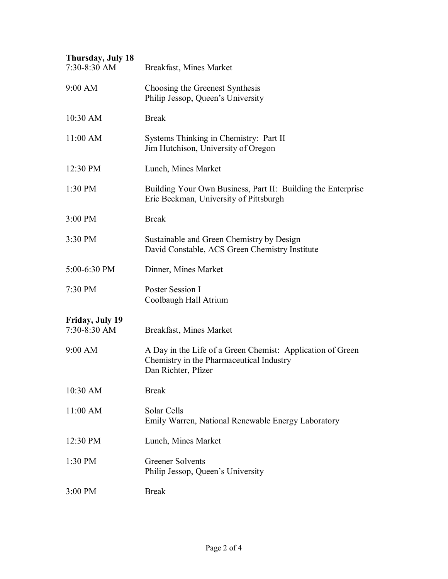| Thursday, July 18<br>7:30-8:30 AM | Breakfast, Mines Market                                                                                                       |
|-----------------------------------|-------------------------------------------------------------------------------------------------------------------------------|
| 9:00 AM                           | Choosing the Greenest Synthesis<br>Philip Jessop, Queen's University                                                          |
| 10:30 AM                          | <b>Break</b>                                                                                                                  |
| $11:00$ AM                        | Systems Thinking in Chemistry: Part II<br>Jim Hutchison, University of Oregon                                                 |
| 12:30 PM                          | Lunch, Mines Market                                                                                                           |
| 1:30 PM                           | Building Your Own Business, Part II: Building the Enterprise<br>Eric Beckman, University of Pittsburgh                        |
| 3:00 PM                           | <b>Break</b>                                                                                                                  |
| 3:30 PM                           | Sustainable and Green Chemistry by Design<br>David Constable, ACS Green Chemistry Institute                                   |
| $5:00-6:30$ PM                    | Dinner, Mines Market                                                                                                          |
| 7:30 PM                           | Poster Session I<br>Coolbaugh Hall Atrium                                                                                     |
| Friday, July 19<br>$7:30-8:30$ AM | Breakfast, Mines Market                                                                                                       |
| $9:00$ AM                         | A Day in the Life of a Green Chemist: Application of Green<br>Chemistry in the Pharmaceutical Industry<br>Dan Richter, Pfizer |
| 10:30 AM                          | <b>Break</b>                                                                                                                  |
| $11:00$ AM                        | Solar Cells<br>Emily Warren, National Renewable Energy Laboratory                                                             |
| 12:30 PM                          | Lunch, Mines Market                                                                                                           |
| 1:30 PM                           | <b>Greener Solvents</b><br>Philip Jessop, Queen's University                                                                  |
| $3:00$ PM                         | <b>Break</b>                                                                                                                  |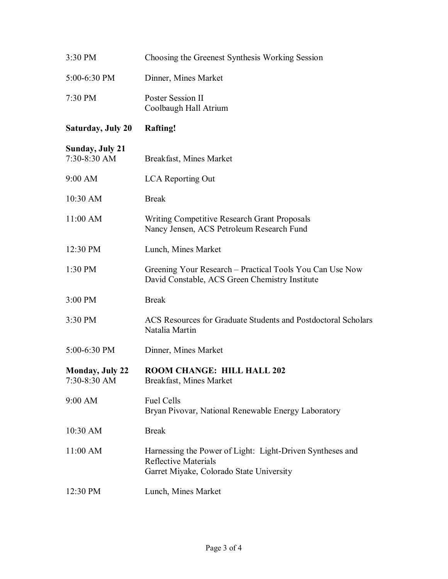| 3:30 PM                                | Choosing the Greenest Synthesis Working Session                                                                                      |  |
|----------------------------------------|--------------------------------------------------------------------------------------------------------------------------------------|--|
| 5:00-6:30 PM                           | Dinner, Mines Market                                                                                                                 |  |
| 7:30 PM                                | Poster Session II<br>Coolbaugh Hall Atrium                                                                                           |  |
| <b>Saturday, July 20</b>               | <b>Rafting!</b>                                                                                                                      |  |
| <b>Sunday, July 21</b><br>7:30-8:30 AM | Breakfast, Mines Market                                                                                                              |  |
| 9:00 AM                                | LCA Reporting Out                                                                                                                    |  |
| 10:30 AM                               | <b>Break</b>                                                                                                                         |  |
| $11:00$ AM                             | Writing Competitive Research Grant Proposals<br>Nancy Jensen, ACS Petroleum Research Fund                                            |  |
| 12:30 PM                               | Lunch, Mines Market                                                                                                                  |  |
| 1:30 PM                                | Greening Your Research - Practical Tools You Can Use Now<br>David Constable, ACS Green Chemistry Institute                           |  |
| 3:00 PM                                | <b>Break</b>                                                                                                                         |  |
| 3:30 PM                                | ACS Resources for Graduate Students and Postdoctoral Scholars<br>Natalia Martin                                                      |  |
| 5:00-6:30 PM                           | Dinner, Mines Market                                                                                                                 |  |
| <b>Monday, July 22</b><br>7:30-8:30 AM | <b>ROOM CHANGE: HILL HALL 202</b><br>Breakfast, Mines Market                                                                         |  |
| 9:00 AM                                | <b>Fuel Cells</b><br>Bryan Pivovar, National Renewable Energy Laboratory                                                             |  |
| 10:30 AM                               | <b>Break</b>                                                                                                                         |  |
| $11:00$ AM                             | Harnessing the Power of Light: Light-Driven Syntheses and<br><b>Reflective Materials</b><br>Garret Miyake, Colorado State University |  |
| 12:30 PM                               | Lunch, Mines Market                                                                                                                  |  |